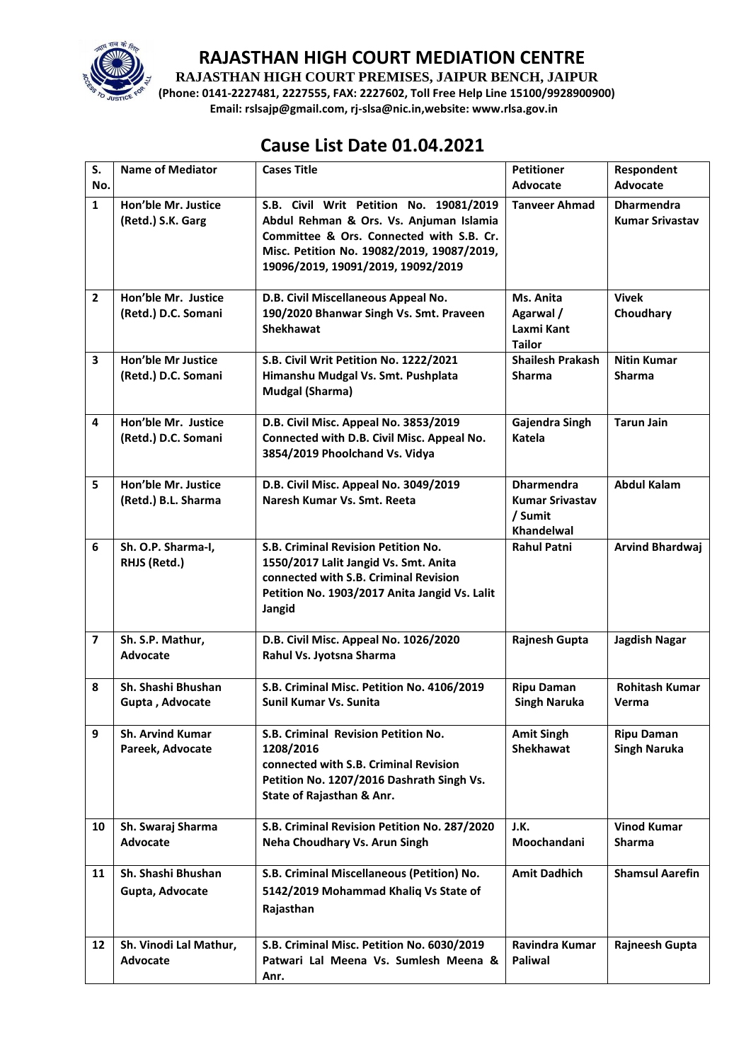

## **RAJASTHAN HIGH COURT MEDIATION CENTRE**

**RAJASTHAN HIGH COURT PREMISES, JAIPUR BENCH, JAIPUR**

**(Phone: 0141-2227481, 2227555, FAX: 2227602, Toll Free Help Line 15100/9928900900) Email: rslsajp@gmail.com, rj-slsa@nic.in,website: www.rlsa.gov.in**

## **Cause List Date 01.04.2021**

| S.                      | <b>Name of Mediator</b>                          | <b>Cases Title</b>                                                                                                                                                                                                 | <b>Petitioner</b>                                                           | Respondent                                  |
|-------------------------|--------------------------------------------------|--------------------------------------------------------------------------------------------------------------------------------------------------------------------------------------------------------------------|-----------------------------------------------------------------------------|---------------------------------------------|
| No.                     |                                                  |                                                                                                                                                                                                                    | Advocate                                                                    | Advocate                                    |
| $\mathbf{1}$            | Hon'ble Mr. Justice<br>(Retd.) S.K. Garg         | S.B. Civil Writ Petition No. 19081/2019<br>Abdul Rehman & Ors. Vs. Anjuman Islamia<br>Committee & Ors. Connected with S.B. Cr.<br>Misc. Petition No. 19082/2019, 19087/2019,<br>19096/2019, 19091/2019, 19092/2019 | <b>Tanveer Ahmad</b>                                                        | <b>Dharmendra</b><br><b>Kumar Srivastav</b> |
| $\overline{2}$          | Hon'ble Mr. Justice<br>(Retd.) D.C. Somani       | D.B. Civil Miscellaneous Appeal No.<br>190/2020 Bhanwar Singh Vs. Smt. Praveen<br><b>Shekhawat</b>                                                                                                                 | Ms. Anita<br>Agarwal /<br>Laxmi Kant<br><b>Tailor</b>                       | <b>Vivek</b><br>Choudhary                   |
| 3                       | <b>Hon'ble Mr Justice</b><br>(Retd.) D.C. Somani | S.B. Civil Writ Petition No. 1222/2021<br>Himanshu Mudgal Vs. Smt. Pushplata<br><b>Mudgal (Sharma)</b>                                                                                                             | <b>Shailesh Prakash</b><br><b>Sharma</b>                                    | <b>Nitin Kumar</b><br><b>Sharma</b>         |
| $\overline{\mathbf{A}}$ | Hon'ble Mr. Justice<br>(Retd.) D.C. Somani       | D.B. Civil Misc. Appeal No. 3853/2019<br>Connected with D.B. Civil Misc. Appeal No.<br>3854/2019 Phoolchand Vs. Vidya                                                                                              | Gajendra Singh<br>Katela                                                    | <b>Tarun Jain</b>                           |
| 5                       | Hon'ble Mr. Justice<br>(Retd.) B.L. Sharma       | D.B. Civil Misc. Appeal No. 3049/2019<br>Naresh Kumar Vs. Smt. Reeta                                                                                                                                               | <b>Dharmendra</b><br><b>Kumar Srivastav</b><br>/ Sumit<br><b>Khandelwal</b> | <b>Abdul Kalam</b>                          |
| 6                       | Sh. O.P. Sharma-I,<br>RHJS (Retd.)               | S.B. Criminal Revision Petition No.<br>1550/2017 Lalit Jangid Vs. Smt. Anita<br>connected with S.B. Criminal Revision<br>Petition No. 1903/2017 Anita Jangid Vs. Lalit<br>Jangid                                   | <b>Rahul Patni</b>                                                          | <b>Arvind Bhardwaj</b>                      |
| $\overline{\mathbf{z}}$ | Sh. S.P. Mathur,<br><b>Advocate</b>              | D.B. Civil Misc. Appeal No. 1026/2020<br>Rahul Vs. Jyotsna Sharma                                                                                                                                                  | Rajnesh Gupta                                                               | Jagdish Nagar                               |
| 8                       | Sh. Shashi Bhushan<br>Gupta, Advocate            | S.B. Criminal Misc. Petition No. 4106/2019<br>Sunil Kumar Vs. Sunita                                                                                                                                               | <b>Ripu Daman</b><br><b>Singh Naruka</b>                                    | <b>Rohitash Kumar</b><br>Verma              |
| 9                       | <b>Sh. Arvind Kumar</b><br>Pareek, Advocate      | S.B. Criminal Revision Petition No.<br>1208/2016<br>connected with S.B. Criminal Revision<br>Petition No. 1207/2016 Dashrath Singh Vs.<br>State of Rajasthan & Anr.                                                | <b>Amit Singh</b><br><b>Shekhawat</b>                                       | <b>Ripu Daman</b><br><b>Singh Naruka</b>    |
| 10                      | Sh. Swaraj Sharma<br><b>Advocate</b>             | S.B. Criminal Revision Petition No. 287/2020<br>Neha Choudhary Vs. Arun Singh                                                                                                                                      | J.K.<br>Moochandani                                                         | <b>Vinod Kumar</b><br><b>Sharma</b>         |
| 11                      | Sh. Shashi Bhushan<br>Gupta, Advocate            | S.B. Criminal Miscellaneous (Petition) No.<br>5142/2019 Mohammad Khaliq Vs State of<br>Rajasthan                                                                                                                   | <b>Amit Dadhich</b>                                                         | <b>Shamsul Aarefin</b>                      |
| 12                      | Sh. Vinodi Lal Mathur,<br>Advocate               | S.B. Criminal Misc. Petition No. 6030/2019<br>Patwari Lal Meena Vs. Sumlesh Meena &<br>Anr.                                                                                                                        | Ravindra Kumar<br>Paliwal                                                   | <b>Rajneesh Gupta</b>                       |